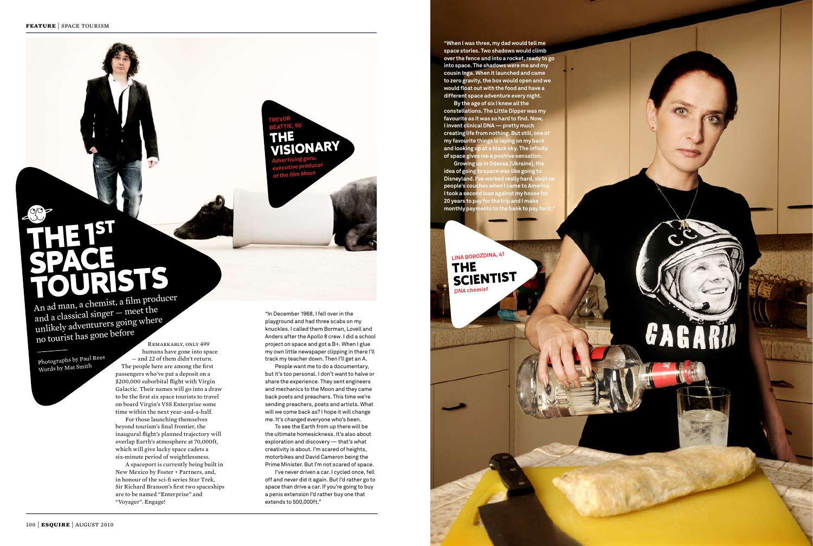## THE 1<sup>ST</sup> SPACE TOURISTS

An ad man, a chemist, a film producer and a classical singer  $-$  meet the unlikely adventurers going where no tourist has gone before

Photographs by Paul Rees Words by Mat Smith

REMARKABLY, ONLY 499 humans have gone into space  $-$  and 22 of them didn't return. The people here are among the first passengers who've put a deposit on a \$200,000 suborbital flight with Virgin Galactic. Their names will go into a draw to be the first six space tourists to travel on board Virgin's VSS Enterprise some time within the next year-and-a-half.

For those launching themselves beyond tourism's final frontier, the  $\mu$ inaugural flight's planned trajectory will overlap Earth's atmosphere at 70,000ft. which will give lucky space cadets a six-minute period of weightlessness.

A spaceport is currently being built in New Mexico by Foster + Partners, and, in honour of the sci-fi series Star Trek, Sir Richard Branson's first two spaceships are to be named "Enterprise" and "Voyager". Engage!

"In December 1968, I fell over in the playground and had three scabs on my knuckles. I called them Borman, Lovell and Anders after the Apollo 8 crew. I did a school project on space and got a B+. When I glue my own little newspaper clipping in there I'll track my teacher down. Then I'll get an A.

People want me to do a documentary, but it's too personal. I don't want to halve or share the experience. They sent engineers and mechanics to the Moon and they came back poets and preachers. This time we're sending preachers, poets and artists. What will we come back as? I hope it will change me. It's changed everyone who's been.

To see the Earth from up there will be the ultimate homesickness. It's also about exploration and discovery — that's what creativity is about. I'm scared of heights, motorbikes and David Cameron being the Prime Minister. But I'm not scared of space.

**Growing up in Odessa [Ukraine], the idea of going to space was like going to Disneyland. I've worked really hard, sle people's couches when I came to America. I took a second loan against my house for 20 years to pay for the trip and I make monthly payments to the bank to pay for it.** 

I've never driven a car. I cycled once, fell off and never did it again. But I'd rather go to space than drive a car. If you're going to buy a penis extension I'd rather buy one that extends to 500,000ft."

**TREVOR BEATTIE, 50** THE

**VISIONARY** 

*Advertising guru, executive producer of the film Moon*

**"When I was three, my dad would tell me space stories. Two shadows would climb over the fence and into a rocket, ready to go into space. The shadows were me and my cousin Inga. When it launched and came to zero gravity, the box would open and we would float out with the food and have a different space adventure every night.** 

**By the age of six I knew all the constellations. The Little Dipper was my favourite as it was so hard to find. Now, I invent clinical DNA — pretty much creating life from nothing. But still, one of my favourite things is laying on my back and looking up at a black sky. The infinity of space gives me a positive sensation.**

## **LINA BORO ZDINA, 41** THE **SCIENTIST** *DNA chemist*

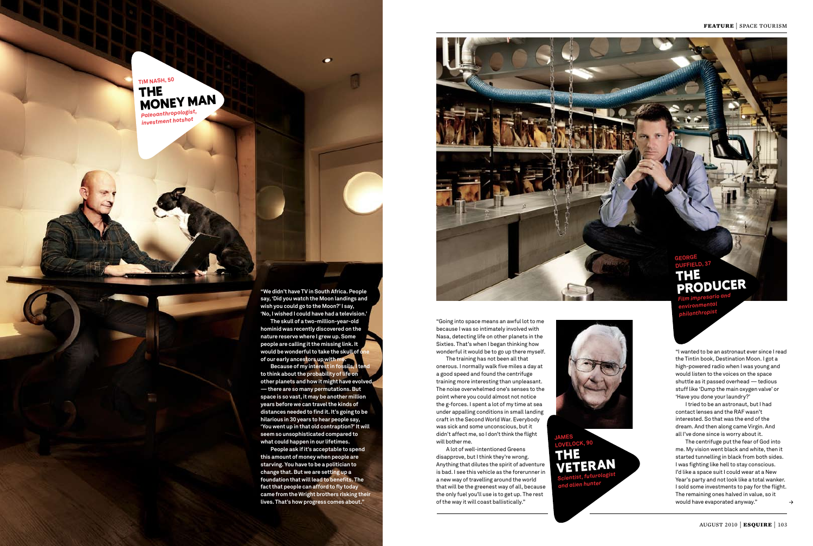**"We didn't have TV in South Africa. People say, 'Did you watch the Moon landings and wish you could go to the Moon?' I say, 'No, I wished I could have had a television.'** 

**The skull of a two-million-year-old hominid was recently discovered on the nature reserve where I grew up. Some people are calling it the missing link. It would be wonderful to take the skull of one of our early ancestors up with me.** 

**Because of my interest in fossils, I tend to think about the probability of life on other planets and how it might have evolved — there are so many permutations. But space is so vast, it may be another million years before we can travel the kinds of distances needed to find it. It's going to be hilarious in 30 years to hear people say, 'You went up in that old contraption?' It will seem so unsophisticated compared to what could happen in our lifetimes.** 

**People ask if it's acceptable to spend this amount of money when people are starving. You have to be a politician to change that. But we are setting up a foundation that will lead to benefits. The fact that people can afford to fly today came from the Wright brothers risking their lives. That's how progress comes about."**





"I wanted to be an astronaut ever since I read the Tintin book, Destination Moon. I got a high-powered radio when I was young and would listen to the voices on the space shuttle as it passed overhead — tedious stuff like 'Dump the main oxygen valve' or 'Have you done your laundry?'

I tried to be an astronaut, but I had contact lenses and the RAF wasn't interested. So that was the end of the dream. And then along came Virgin. And all I've done since is worry about it.

The centrifuge put the fear of God into me. My vision went black and white, then it started tunnelling in black from both sides. I was fighting like hell to stay conscious. I'd like a space suit I could wear at a New Year's party and not look like a total wanker. I sold some investments to pay for the flight. The remaining ones halved in value, so it would have evaporated anyway."

**GEORGE DUFFIELD, 37** THE PRODUCER *Film impresario an<sup>d</sup>*

*environmental <sup>p</sup>hilanthropist*

"Going into space means an awful lot to me because I was so intimately involved with Nasa, detecting life on other planets in the Sixties. That's when I began thinking how wonderful it would be to go up there myself.

The training has not been all that onerous. I normally walk five miles a day at a good speed and found the centrifuge training more interesting than unpleasant. The noise overwhelmed one's senses to the point where you could almost not notice the g-forces. I spent a lot of my time at sea under appalling conditions in small landing craft in the Second World War. Everybody was sick and some unconscious, but it didn't affect me, so I don't think the flight will bother me.

A lot of well-intentioned Greens disapprove, but I think they're wrong. Anything that dilutes the spirit of adventure is bad. I see this vehicle as the forerunner in a new way of travelling around the world that will be the greenest way of all, because the only fuel you'll use is to get up. The rest of the way it will coast ballistically."



**JAMES LOVELOCK, 90**

THE VETERAN *Scientist, futurologist and alien hunter*